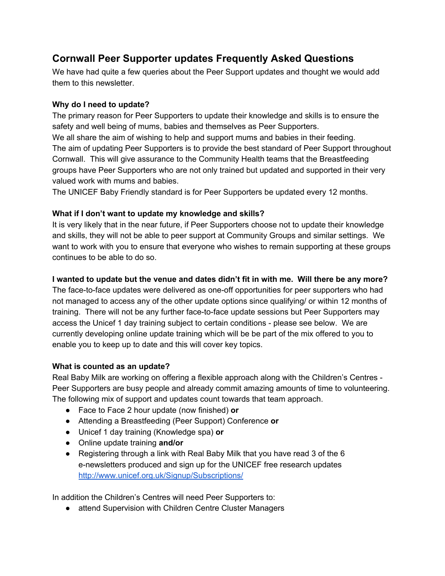# **Cornwall Peer Supporter updates Frequently Asked Questions**

We have had quite a few queries about the Peer Support updates and thought we would add them to this newsletter.

# **Why do I need to update?**

The primary reason for Peer Supporters to update their knowledge and skills is to ensure the safety and well being of mums, babies and themselves as Peer Supporters.

We all share the aim of wishing to help and support mums and babies in their feeding. The aim of updating Peer Supporters is to provide the best standard of Peer Support throughout Cornwall. This will give assurance to the Community Health teams that the Breastfeeding groups have Peer Supporters who are not only trained but updated and supported in their very valued work with mums and babies.

The UNICEF Baby Friendly standard is for Peer Supporters be updated every 12 months.

## **What if I don't want to update my knowledge and skills?**

It is very likely that in the near future, if Peer Supporters choose not to update their knowledge and skills, they will not be able to peer support at Community Groups and similar settings. We want to work with you to ensure that everyone who wishes to remain supporting at these groups continues to be able to do so.

## **I wanted to update but the venue and dates didn't fit in with me. Will there be any more?**

The face-to-face updates were delivered as one-off opportunities for peer supporters who had not managed to access any of the other update options since qualifying/ or within 12 months of training. There will not be any further face-to-face update sessions but Peer Supporters may access the Unicef 1 day training subject to certain conditions please see below. We are currently developing online update training which will be be part of the mix offered to you to enable you to keep up to date and this will cover key topics.

#### **What is counted as an update?**

Real Baby Milk are working on offering a flexible approach along with the Children's Centres Peer Supporters are busy people and already commit amazing amounts of time to volunteering. The following mix of support and updates count towards that team approach.

- Face to Face 2 hour update (now finished) **or**
- Attending a Breastfeeding (Peer Support) Conference **or**
- Unicef 1 day training (Knowledge spa) **or**
- Online update training **and/or**
- Registering through a link with Real Baby Milk that you have read 3 of the 6 enewsletters produced and sign up for the UNICEF free research updates <http://www.unicef.org.uk/Signup/Subscriptions/>

In addition the Children's Centres will need Peer Supporters to:

• attend Supervision with Children Centre Cluster Managers